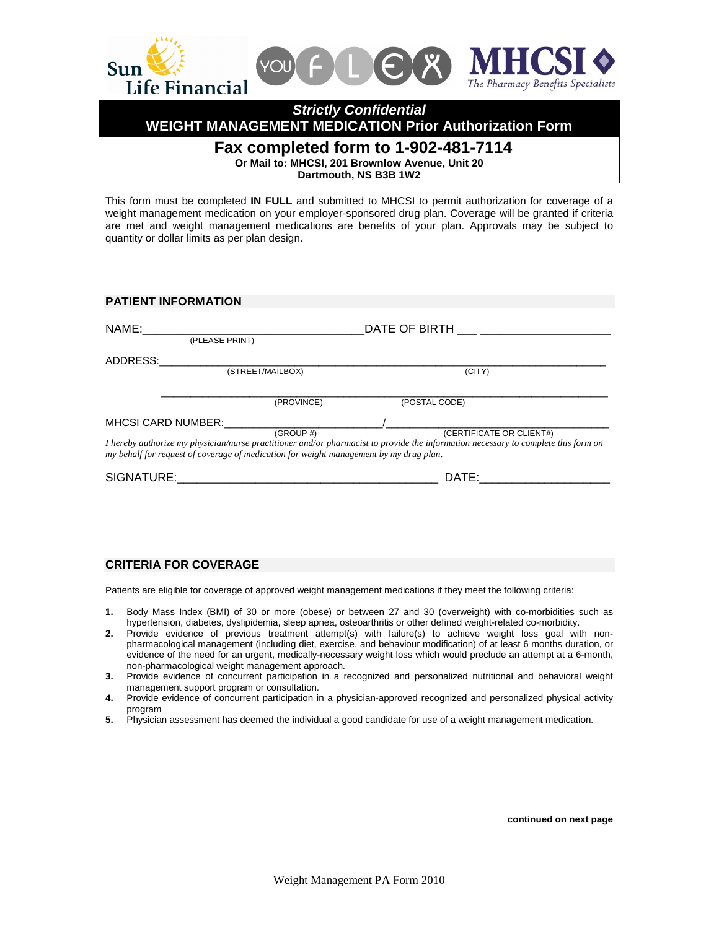

**WEIGHT MANAGEMENT MEDICATION Prior Authorization Form** 

# **Fax completed form to 1-902-481-7114**

**Or Mail to: MHCSI, 201 Brownlow Avenue, Unit 20** 

**Dartmouth, NS B3B 1W2** 

This form must be completed **IN FULL** and submitted to MHCSI to permit authorization for coverage of a weight management medication on your employer-sponsored drug plan. Coverage will be granted if criteria are met and weight management medications are benefits of your plan. Approvals may be subject to quantity or dollar limits as per plan design.

| <b>PATIENT INFORMATION</b> |                                                                                                     |                                                                                                                                                                |  |  |  |  |
|----------------------------|-----------------------------------------------------------------------------------------------------|----------------------------------------------------------------------------------------------------------------------------------------------------------------|--|--|--|--|
| NAME:                      | DATE OF BIRTH<br>(PLEASE PRINT)                                                                     |                                                                                                                                                                |  |  |  |  |
| ADDRESS:                   |                                                                                                     |                                                                                                                                                                |  |  |  |  |
|                            | (STREET/MAILBOX)                                                                                    | (CITY)                                                                                                                                                         |  |  |  |  |
|                            | (PROVINCE)                                                                                          | (POSTAL CODE)                                                                                                                                                  |  |  |  |  |
| <b>MHCSI CARD NUMBER:</b>  |                                                                                                     |                                                                                                                                                                |  |  |  |  |
|                            | (GROUP #)<br>my behalf for request of coverage of medication for weight management by my drug plan. | (CERTIFICATE OR CLIENT#)<br>I hereby authorize my physician/nurse practitioner and/or pharmacist to provide the information necessary to complete this form on |  |  |  |  |
| SIGNATURE:                 |                                                                                                     | DATE:                                                                                                                                                          |  |  |  |  |

## **CRITERIA FOR COVERAGE**

Patients are eligible for coverage of approved weight management medications if they meet the following criteria:

- **1.** Body Mass Index (BMI) of 30 or more (obese) or between 27 and 30 (overweight) with co-morbidities such as hypertension, diabetes, dyslipidemia, sleep apnea, osteoarthritis or other defined weight-related co-morbidity.
- **2.** Provide evidence of previous treatment attempt(s) with failure(s) to achieve weight loss goal with nonpharmacological management (including diet, exercise, and behaviour modification) of at least 6 months duration, or evidence of the need for an urgent, medically-necessary weight loss which would preclude an attempt at a 6-month, non-pharmacological weight management approach.
- **3.** Provide evidence of concurrent participation in a recognized and personalized nutritional and behavioral weight management support program or consultation.
- **4.** Provide evidence of concurrent participation in a physician-approved recognized and personalized physical activity program
- **5.** Physician assessment has deemed the individual a good candidate for use of a weight management medication.

**continued on next page**